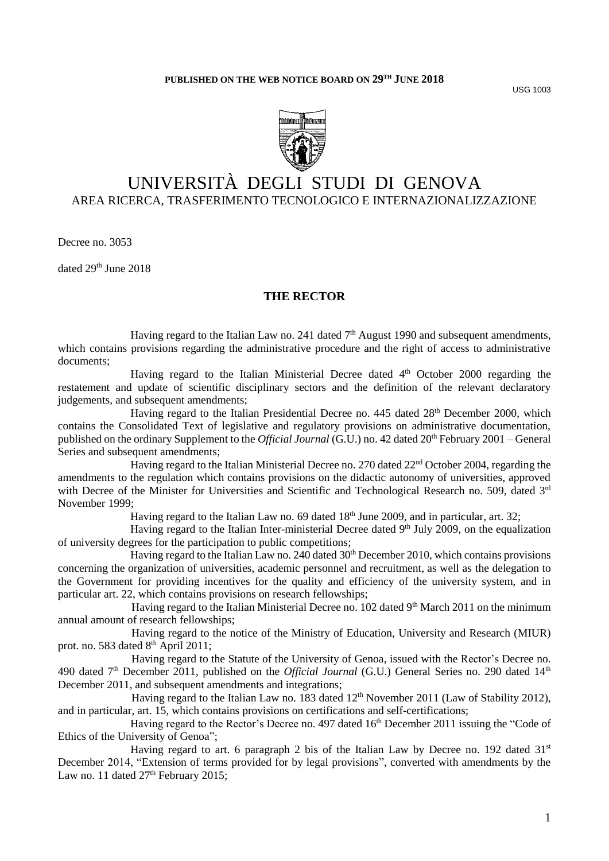USG 1003



# UNIVERSITÀ DEGLI STUDI DI GENOVA AREA RICERCA, TRASFERIMENTO TECNOLOGICO E INTERNAZIONALIZZAZIONE

Decree no. 3053

dated 29<sup>th</sup> June 2018

# **THE RECTOR**

Having regard to the Italian Law no. 241 dated  $7<sup>th</sup>$  August 1990 and subsequent amendments, which contains provisions regarding the administrative procedure and the right of access to administrative documents;

Having regard to the Italian Ministerial Decree dated 4<sup>th</sup> October 2000 regarding the restatement and update of scientific disciplinary sectors and the definition of the relevant declaratory judgements, and subsequent amendments;

Having regard to the Italian Presidential Decree no. 445 dated 28<sup>th</sup> December 2000, which contains the Consolidated Text of legislative and regulatory provisions on administrative documentation, published on the ordinary Supplement to the *Official Journal* (G.U.) no. 42 dated 20th February 2001 – General Series and subsequent amendments;

Having regard to the Italian Ministerial Decree no. 270 dated 22<sup>nd</sup> October 2004, regarding the amendments to the regulation which contains provisions on the didactic autonomy of universities, approved with Decree of the Minister for Universities and Scientific and Technological Research no. 509, dated 3rd November 1999;

Having regard to the Italian Law no. 69 dated  $18<sup>th</sup>$  June 2009, and in particular, art. 32;

Having regard to the Italian Inter-ministerial Decree dated 9<sup>th</sup> July 2009, on the equalization of university degrees for the participation to public competitions;

Having regard to the Italian Law no. 240 dated  $30<sup>th</sup>$  December 2010, which contains provisions concerning the organization of universities, academic personnel and recruitment, as well as the delegation to the Government for providing incentives for the quality and efficiency of the university system, and in particular art. 22, which contains provisions on research fellowships;

Having regard to the Italian Ministerial Decree no. 102 dated 9<sup>th</sup> March 2011 on the minimum annual amount of research fellowships;

Having regard to the notice of the Ministry of Education, University and Research (MIUR) prot. no. 583 dated 8<sup>th</sup> April 2011;

Having regard to the Statute of the University of Genoa, issued with the Rector's Decree no. 490 dated 7<sup>th</sup> December 2011, published on the *Official Journal* (G.U.) General Series no. 290 dated 14<sup>th</sup> December 2011, and subsequent amendments and integrations;

Having regard to the Italian Law no. 183 dated  $12<sup>th</sup>$  November 2011 (Law of Stability 2012), and in particular, art. 15, which contains provisions on certifications and self-certifications;

Having regard to the Rector's Decree no. 497 dated 16<sup>th</sup> December 2011 issuing the "Code of Ethics of the University of Genoa";

Having regard to art. 6 paragraph 2 bis of the Italian Law by Decree no. 192 dated  $31<sup>st</sup>$ December 2014, "Extension of terms provided for by legal provisions", converted with amendments by the Law no. 11 dated 27<sup>th</sup> February 2015;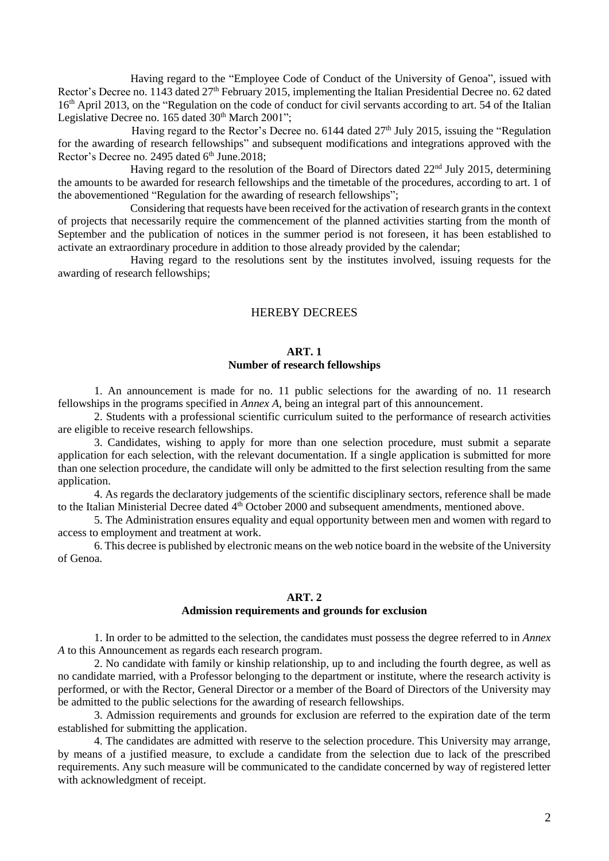Having regard to the "Employee Code of Conduct of the University of Genoa", issued with Rector's Decree no. 1143 dated 27<sup>th</sup> February 2015, implementing the Italian Presidential Decree no. 62 dated 16<sup>th</sup> April 2013, on the "Regulation on the code of conduct for civil servants according to art. 54 of the Italian Legislative Decree no.  $165$  dated  $30<sup>th</sup>$  March  $2001$ ";

Having regard to the Rector's Decree no.  $6144$  dated  $27<sup>th</sup>$  July 2015, issuing the "Regulation" for the awarding of research fellowships" and subsequent modifications and integrations approved with the Rector's Decree no. 2495 dated 6th June.2018;

Having regard to the resolution of the Board of Directors dated  $22<sup>nd</sup>$  July 2015, determining the amounts to be awarded for research fellowships and the timetable of the procedures, according to art. 1 of the abovementioned "Regulation for the awarding of research fellowships";

Considering that requests have been received for the activation of research grants in the context of projects that necessarily require the commencement of the planned activities starting from the month of September and the publication of notices in the summer period is not foreseen, it has been established to activate an extraordinary procedure in addition to those already provided by the calendar;

Having regard to the resolutions sent by the institutes involved, issuing requests for the awarding of research fellowships;

#### HEREBY DECREES

#### **ART. 1**

#### **Number of research fellowships**

1. An announcement is made for no. 11 public selections for the awarding of no. 11 research fellowships in the programs specified in *Annex A*, being an integral part of this announcement.

2. Students with a professional scientific curriculum suited to the performance of research activities are eligible to receive research fellowships.

3. Candidates, wishing to apply for more than one selection procedure, must submit a separate application for each selection, with the relevant documentation. If a single application is submitted for more than one selection procedure, the candidate will only be admitted to the first selection resulting from the same application.

4. As regards the declaratory judgements of the scientific disciplinary sectors, reference shall be made to the Italian Ministerial Decree dated 4<sup>th</sup> October 2000 and subsequent amendments, mentioned above.

5. The Administration ensures equality and equal opportunity between men and women with regard to access to employment and treatment at work.

6. This decree is published by electronic means on the web notice board in the website of the University of Genoa.

#### **ART. 2**

#### **Admission requirements and grounds for exclusion**

1. In order to be admitted to the selection, the candidates must possess the degree referred to in *Annex A* to this Announcement as regards each research program.

2. No candidate with family or kinship relationship, up to and including the fourth degree, as well as no candidate married, with a Professor belonging to the department or institute, where the research activity is performed, or with the Rector, General Director or a member of the Board of Directors of the University may be admitted to the public selections for the awarding of research fellowships.

3. Admission requirements and grounds for exclusion are referred to the expiration date of the term established for submitting the application.

4. The candidates are admitted with reserve to the selection procedure. This University may arrange, by means of a justified measure, to exclude a candidate from the selection due to lack of the prescribed requirements. Any such measure will be communicated to the candidate concerned by way of registered letter with acknowledgment of receipt.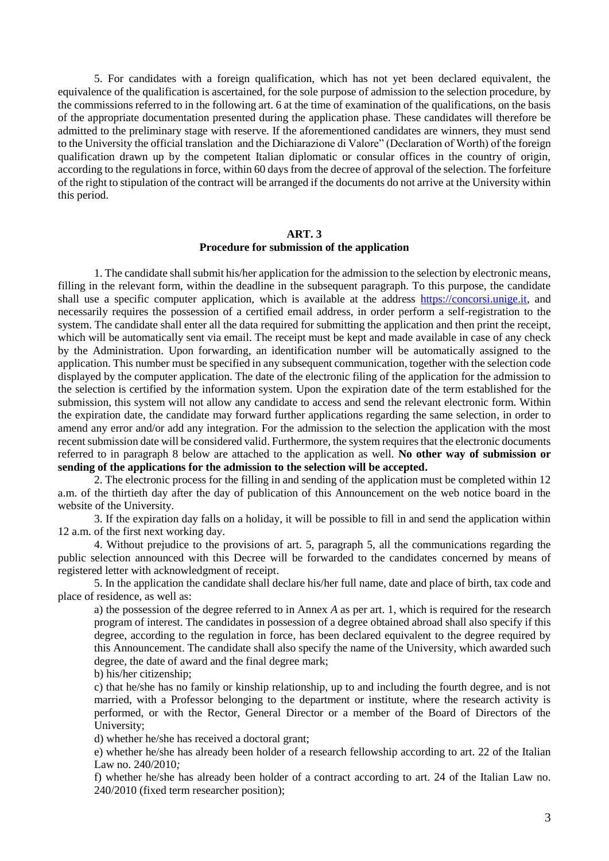5. For candidates with a foreign qualification, which has not yet been declared equivalent, the equivalence of the qualification is ascertained, for the sole purpose of admission to the selection procedure, by the commissions referred to in the following art. 6 at the time of examination of the qualifications, on the basis of the appropriate documentation presented during the application phase. These candidates will therefore be admitted to the preliminary stage with reserve. If the aforementioned candidates are winners, they must send to the University the official translation and the Dichiarazione di Valore" (Declaration of Worth) of the foreign qualification drawn up by the competent Italian diplomatic or consular offices in the country of origin, according to the regulations in force, within 60 days from the decree of approval of the selection. The forfeiture of the right to stipulation of the contract will be arranged if the documents do not arrive at the University within this period.

# **ART. 3 Procedure for submission of the application**

1. The candidate shall submit his/her application for the admission to the selection by electronic means, filling in the relevant form, within the deadline in the subsequent paragraph. To this purpose, the candidate shall use a specific computer application, which is available at the address [https://concorsi.unige.it,](https://concorsi.unige.it/) and necessarily requires the possession of a certified email address, in order perform a self-registration to the system. The candidate shall enter all the data required for submitting the application and then print the receipt, which will be automatically sent via email. The receipt must be kept and made available in case of any check by the Administration. Upon forwarding, an identification number will be automatically assigned to the application. This number must be specified in any subsequent communication, together with the selection code displayed by the computer application. The date of the electronic filing of the application for the admission to the selection is certified by the information system. Upon the expiration date of the term established for the submission, this system will not allow any candidate to access and send the relevant electronic form. Within the expiration date, the candidate may forward further applications regarding the same selection, in order to amend any error and/or add any integration. For the admission to the selection the application with the most recent submission date will be considered valid. Furthermore, the system requires that the electronic documents referred to in paragraph 8 below are attached to the application as well. **No other way of submission or sending of the applications for the admission to the selection will be accepted.** 

2. The electronic process for the filling in and sending of the application must be completed within 12 a.m. of the thirtieth day after the day of publication of this Announcement on the web notice board in the website of the University.

3. If the expiration day falls on a holiday, it will be possible to fill in and send the application within 12 a.m. of the first next working day.

4. Without prejudice to the provisions of art. 5, paragraph 5, all the communications regarding the public selection announced with this Decree will be forwarded to the candidates concerned by means of registered letter with acknowledgment of receipt.

5. In the application the candidate shall declare his/her full name, date and place of birth, tax code and place of residence, as well as:

a) the possession of the degree referred to in Annex *A* as per art. 1, which is required for the research program of interest. The candidates in possession of a degree obtained abroad shall also specify if this degree, according to the regulation in force, has been declared equivalent to the degree required by this Announcement. The candidate shall also specify the name of the University, which awarded such degree, the date of award and the final degree mark;

b) his/her citizenship;

c) that he/she has no family or kinship relationship, up to and including the fourth degree, and is not married, with a Professor belonging to the department or institute, where the research activity is performed, or with the Rector, General Director or a member of the Board of Directors of the University;

d) whether he/she has received a doctoral grant;

e) whether he/she has already been holder of a research fellowship according to art. 22 of the Italian Law no. 240/2010*;*

f) whether he/she has already been holder of a contract according to art. 24 of the Italian Law no. 240/2010 (fixed term researcher position);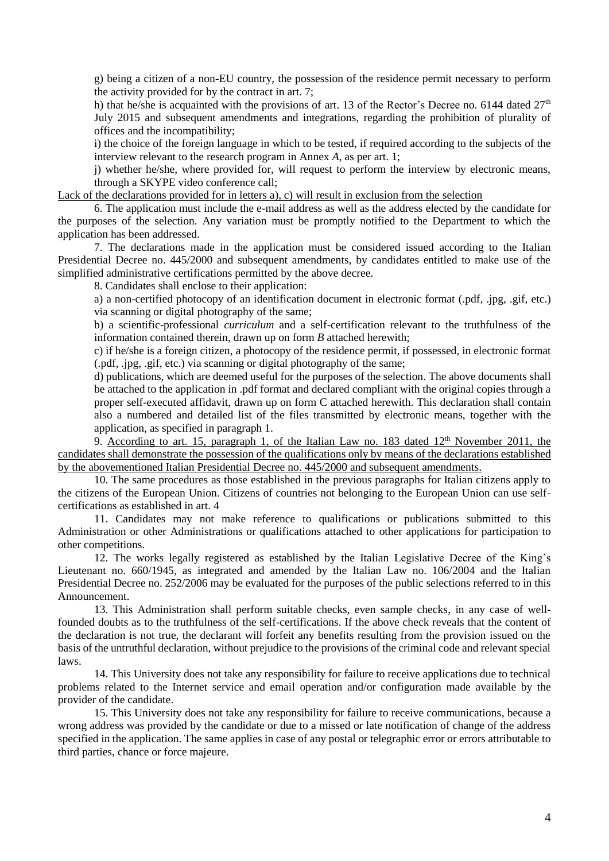g) being a citizen of a non-EU country, the possession of the residence permit necessary to perform the activity provided for by the contract in art. 7;

h) that he/she is acquainted with the provisions of art. 13 of the Rector's Decree no. 6144 dated  $27<sup>th</sup>$ July 2015 and subsequent amendments and integrations, regarding the prohibition of plurality of offices and the incompatibility;

i) the choice of the foreign language in which to be tested, if required according to the subjects of the interview relevant to the research program in Annex *A*, as per art. 1;

j) whether he/she, where provided for, will request to perform the interview by electronic means, through a SKYPE video conference call;

Lack of the declarations provided for in letters a), c) will result in exclusion from the selection

6. The application must include the e-mail address as well as the address elected by the candidate for the purposes of the selection. Any variation must be promptly notified to the Department to which the application has been addressed.

7. The declarations made in the application must be considered issued according to the Italian Presidential Decree no. 445/2000 and subsequent amendments, by candidates entitled to make use of the simplified administrative certifications permitted by the above decree.

8. Candidates shall enclose to their application:

a) a non-certified photocopy of an identification document in electronic format (.pdf, .jpg, .gif, etc.) via scanning or digital photography of the same;

b) a scientific-professional *curriculum* and a self-certification relevant to the truthfulness of the information contained therein, drawn up on form *B* attached herewith;

c) if he/she is a foreign citizen, a photocopy of the residence permit, if possessed, in electronic format (.pdf, .jpg, .gif, etc.) via scanning or digital photography of the same;

d) publications, which are deemed useful for the purposes of the selection. The above documents shall be attached to the application in .pdf format and declared compliant with the original copies through a proper self-executed affidavit, drawn up on form C attached herewith. This declaration shall contain also a numbered and detailed list of the files transmitted by electronic means, together with the application, as specified in paragraph 1.

9. According to art. 15, paragraph 1, of the Italian Law no. 183 dated  $12<sup>th</sup>$  November 2011, the candidates shall demonstrate the possession of the qualifications only by means of the declarations established by the abovementioned Italian Presidential Decree no. 445/2000 and subsequent amendments.

10. The same procedures as those established in the previous paragraphs for Italian citizens apply to the citizens of the European Union. Citizens of countries not belonging to the European Union can use selfcertifications as established in art. 4

11. Candidates may not make reference to qualifications or publications submitted to this Administration or other Administrations or qualifications attached to other applications for participation to other competitions.

12. The works legally registered as established by the Italian Legislative Decree of the King's Lieutenant no. 660/1945, as integrated and amended by the Italian Law no. 106/2004 and the Italian Presidential Decree no. 252/2006 may be evaluated for the purposes of the public selections referred to in this Announcement.

13. This Administration shall perform suitable checks, even sample checks, in any case of wellfounded doubts as to the truthfulness of the self-certifications. If the above check reveals that the content of the declaration is not true, the declarant will forfeit any benefits resulting from the provision issued on the basis of the untruthful declaration, without prejudice to the provisions of the criminal code and relevant special laws.

14. This University does not take any responsibility for failure to receive applications due to technical problems related to the Internet service and email operation and/or configuration made available by the provider of the candidate.

15. This University does not take any responsibility for failure to receive communications, because a wrong address was provided by the candidate or due to a missed or late notification of change of the address specified in the application. The same applies in case of any postal or telegraphic error or errors attributable to third parties, chance or force majeure.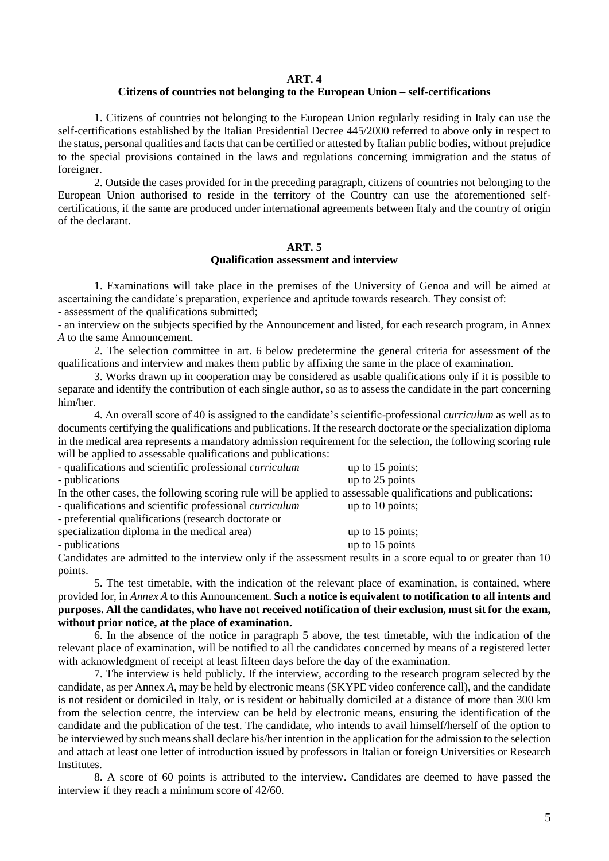#### **ART. 4**

### **Citizens of countries not belonging to the European Union – self-certifications**

1. Citizens of countries not belonging to the European Union regularly residing in Italy can use the self-certifications established by the Italian Presidential Decree 445/2000 referred to above only in respect to the status, personal qualities and facts that can be certified or attested by Italian public bodies, without prejudice to the special provisions contained in the laws and regulations concerning immigration and the status of foreigner.

2. Outside the cases provided for in the preceding paragraph, citizens of countries not belonging to the European Union authorised to reside in the territory of the Country can use the aforementioned selfcertifications, if the same are produced under international agreements between Italy and the country of origin of the declarant.

#### **ART. 5**

#### **Qualification assessment and interview**

1. Examinations will take place in the premises of the University of Genoa and will be aimed at ascertaining the candidate's preparation, experience and aptitude towards research. They consist of: - assessment of the qualifications submitted;

- an interview on the subjects specified by the Announcement and listed, for each research program, in Annex *A* to the same Announcement.

2. The selection committee in art. 6 below predetermine the general criteria for assessment of the qualifications and interview and makes them public by affixing the same in the place of examination.

3. Works drawn up in cooperation may be considered as usable qualifications only if it is possible to separate and identify the contribution of each single author, so as to assess the candidate in the part concerning him/her.

4. An overall score of 40 is assigned to the candidate's scientific-professional *curriculum* as well as to documents certifying the qualifications and publications. If the research doctorate or the specialization diploma in the medical area represents a mandatory admission requirement for the selection, the following scoring rule will be applied to assessable qualifications and publications:

| - qualifications and scientific professional <i>curriculum</i>                                                | up to $15$ points; |
|---------------------------------------------------------------------------------------------------------------|--------------------|
| - publications                                                                                                | up to 25 points    |
| In the other cases, the following scoring rule will be applied to assessable qualifications and publications: |                    |
| - qualifications and scientific professional <i>curriculum</i>                                                | up to $10$ points; |
| - preferential qualifications (research doctorate or                                                          |                    |
| specialization diploma in the medical area)                                                                   | up to $15$ points; |
| - publications                                                                                                | up to 15 points    |

Candidates are admitted to the interview only if the assessment results in a score equal to or greater than 10 points.

5. The test timetable, with the indication of the relevant place of examination, is contained, where provided for, in *Annex A* to this Announcement. **Such a notice is equivalent to notification to all intents and purposes. All the candidates, who have not received notification of their exclusion, must sit for the exam, without prior notice, at the place of examination.**

6. In the absence of the notice in paragraph 5 above, the test timetable, with the indication of the relevant place of examination, will be notified to all the candidates concerned by means of a registered letter with acknowledgment of receipt at least fifteen days before the day of the examination.

7. The interview is held publicly. If the interview, according to the research program selected by the candidate, as per Annex *A*, may be held by electronic means (SKYPE video conference call), and the candidate is not resident or domiciled in Italy, or is resident or habitually domiciled at a distance of more than 300 km from the selection centre, the interview can be held by electronic means, ensuring the identification of the candidate and the publication of the test. The candidate, who intends to avail himself/herself of the option to be interviewed by such means shall declare his/her intention in the application for the admission to the selection and attach at least one letter of introduction issued by professors in Italian or foreign Universities or Research Institutes.

8. A score of 60 points is attributed to the interview. Candidates are deemed to have passed the interview if they reach a minimum score of 42/60.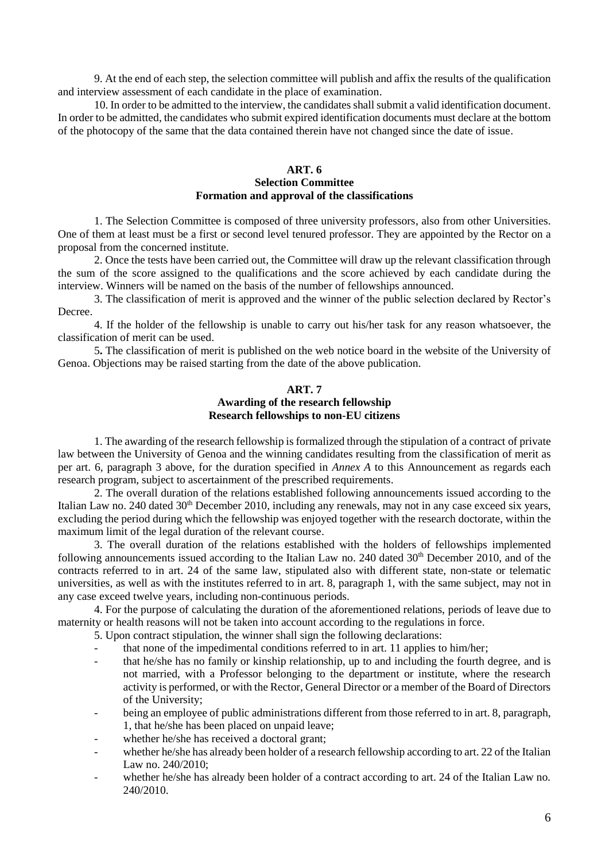9. At the end of each step, the selection committee will publish and affix the results of the qualification and interview assessment of each candidate in the place of examination.

10. In order to be admitted to the interview, the candidates shall submit a valid identification document. In order to be admitted, the candidates who submit expired identification documents must declare at the bottom of the photocopy of the same that the data contained therein have not changed since the date of issue.

### **ART. 6 Selection Committee Formation and approval of the classifications**

1. The Selection Committee is composed of three university professors, also from other Universities. One of them at least must be a first or second level tenured professor. They are appointed by the Rector on a proposal from the concerned institute.

2. Once the tests have been carried out, the Committee will draw up the relevant classification through the sum of the score assigned to the qualifications and the score achieved by each candidate during the interview. Winners will be named on the basis of the number of fellowships announced.

3. The classification of merit is approved and the winner of the public selection declared by Rector's Decree.

4. If the holder of the fellowship is unable to carry out his/her task for any reason whatsoever, the classification of merit can be used.

5**.** The classification of merit is published on the web notice board in the website of the University of Genoa. Objections may be raised starting from the date of the above publication.

### **ART. 7 Awarding of the research fellowship Research fellowships to non-EU citizens**

1. The awarding of the research fellowship is formalized through the stipulation of a contract of private law between the University of Genoa and the winning candidates resulting from the classification of merit as per art. 6, paragraph 3 above, for the duration specified in *Annex A* to this Announcement as regards each research program, subject to ascertainment of the prescribed requirements.

2. The overall duration of the relations established following announcements issued according to the Italian Law no. 240 dated 30<sup>th</sup> December 2010, including any renewals, may not in any case exceed six years, excluding the period during which the fellowship was enjoyed together with the research doctorate, within the maximum limit of the legal duration of the relevant course.

3. The overall duration of the relations established with the holders of fellowships implemented following announcements issued according to the Italian Law no. 240 dated  $30<sup>th</sup>$  December 2010, and of the contracts referred to in art. 24 of the same law, stipulated also with different state, non-state or telematic universities, as well as with the institutes referred to in art. 8, paragraph 1, with the same subject, may not in any case exceed twelve years, including non-continuous periods.

4. For the purpose of calculating the duration of the aforementioned relations, periods of leave due to maternity or health reasons will not be taken into account according to the regulations in force.

5. Upon contract stipulation, the winner shall sign the following declarations:

- that none of the impedimental conditions referred to in art. 11 applies to him/her;
- that he/she has no family or kinship relationship, up to and including the fourth degree, and is not married, with a Professor belonging to the department or institute, where the research activity is performed, or with the Rector, General Director or a member of the Board of Directors of the University;
- being an employee of public administrations different from those referred to in art. 8, paragraph, 1, that he/she has been placed on unpaid leave;
- whether he/she has received a doctoral grant;
- whether he/she has already been holder of a research fellowship according to art. 22 of the Italian Law no. 240/2010;
- whether he/she has already been holder of a contract according to art. 24 of the Italian Law no. 240/2010.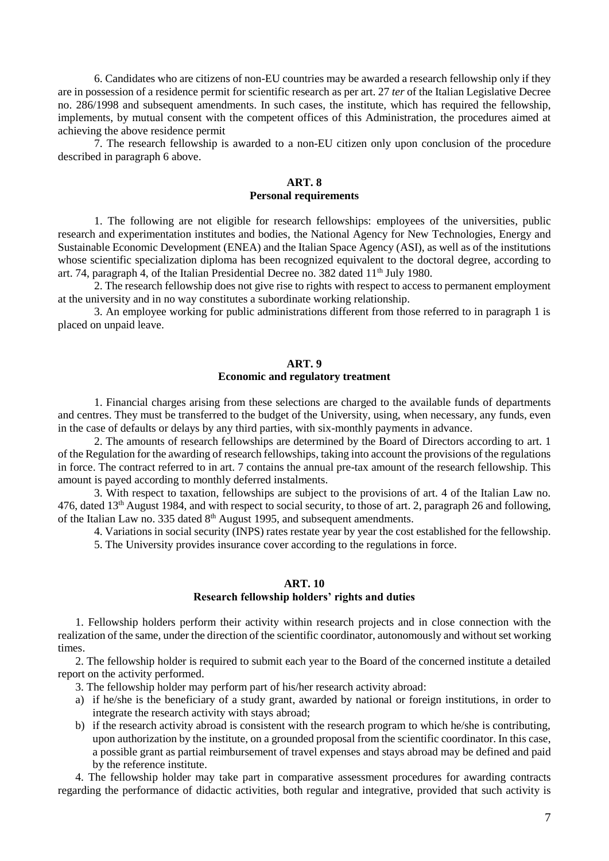6. Candidates who are citizens of non-EU countries may be awarded a research fellowship only if they are in possession of a residence permit for scientific research as per art. 27 *ter* of the Italian Legislative Decree no. 286/1998 and subsequent amendments. In such cases, the institute, which has required the fellowship, implements, by mutual consent with the competent offices of this Administration, the procedures aimed at achieving the above residence permit

7. The research fellowship is awarded to a non-EU citizen only upon conclusion of the procedure described in paragraph 6 above.

### **ART. 8 Personal requirements**

1. The following are not eligible for research fellowships: employees of the universities, public research and experimentation institutes and bodies, the National Agency for New Technologies, Energy and Sustainable Economic Development (ENEA) and the Italian Space Agency (ASI), as well as of the institutions whose scientific specialization diploma has been recognized equivalent to the doctoral degree, according to art. 74, paragraph 4, of the Italian Presidential Decree no. 382 dated  $11<sup>th</sup>$  July 1980.

2. The research fellowship does not give rise to rights with respect to access to permanent employment at the university and in no way constitutes a subordinate working relationship.

3. An employee working for public administrations different from those referred to in paragraph 1 is placed on unpaid leave.

### **ART. 9 Economic and regulatory treatment**

1. Financial charges arising from these selections are charged to the available funds of departments and centres. They must be transferred to the budget of the University, using, when necessary, any funds, even in the case of defaults or delays by any third parties, with six-monthly payments in advance.

2. The amounts of research fellowships are determined by the Board of Directors according to art. 1 of the Regulation for the awarding of research fellowships, taking into account the provisions of the regulations in force. The contract referred to in art. 7 contains the annual pre-tax amount of the research fellowship. This amount is payed according to monthly deferred instalments.

3. With respect to taxation, fellowships are subject to the provisions of art. 4 of the Italian Law no. 476, dated 13th August 1984, and with respect to social security, to those of art. 2, paragraph 26 and following, of the Italian Law no. 335 dated  $8<sup>th</sup>$  August 1995, and subsequent amendments.

4. Variations in social security (INPS) rates restate year by year the cost established for the fellowship.

5. The University provides insurance cover according to the regulations in force.

#### **ART. 10 Research fellowship holders' rights and duties**

1. Fellowship holders perform their activity within research projects and in close connection with the realization of the same, under the direction of the scientific coordinator, autonomously and without set working times.

2. The fellowship holder is required to submit each year to the Board of the concerned institute a detailed report on the activity performed.

3. The fellowship holder may perform part of his/her research activity abroad:

- a) if he/she is the beneficiary of a study grant, awarded by national or foreign institutions, in order to integrate the research activity with stays abroad;
- b) if the research activity abroad is consistent with the research program to which he/she is contributing, upon authorization by the institute, on a grounded proposal from the scientific coordinator. In this case, a possible grant as partial reimbursement of travel expenses and stays abroad may be defined and paid by the reference institute.

4. The fellowship holder may take part in comparative assessment procedures for awarding contracts regarding the performance of didactic activities, both regular and integrative, provided that such activity is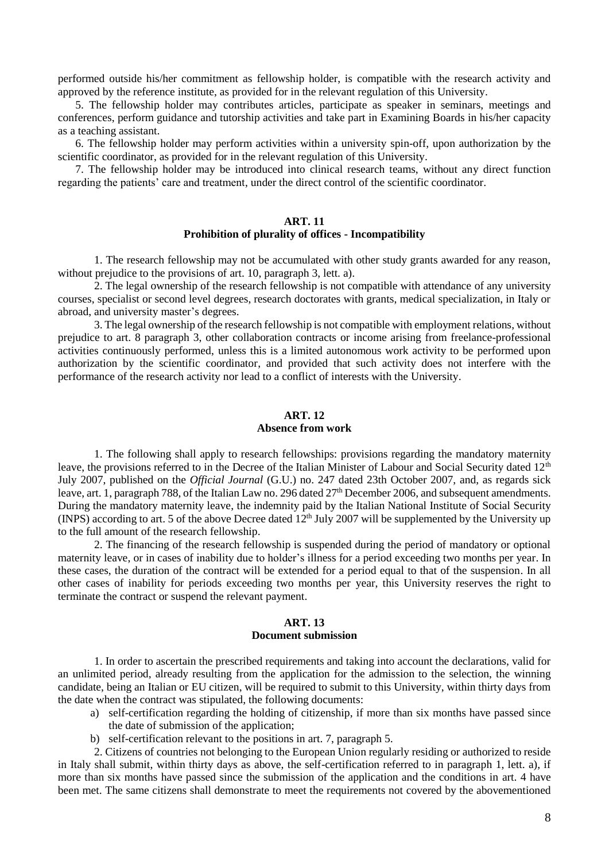performed outside his/her commitment as fellowship holder, is compatible with the research activity and approved by the reference institute, as provided for in the relevant regulation of this University.

5. The fellowship holder may contributes articles, participate as speaker in seminars, meetings and conferences, perform guidance and tutorship activities and take part in Examining Boards in his/her capacity as a teaching assistant.

6. The fellowship holder may perform activities within a university spin-off, upon authorization by the scientific coordinator, as provided for in the relevant regulation of this University.

7. The fellowship holder may be introduced into clinical research teams, without any direct function regarding the patients' care and treatment, under the direct control of the scientific coordinator.

#### **ART. 11**

#### **Prohibition of plurality of offices - Incompatibility**

1. The research fellowship may not be accumulated with other study grants awarded for any reason, without prejudice to the provisions of art. 10, paragraph 3, lett. a).

2. The legal ownership of the research fellowship is not compatible with attendance of any university courses, specialist or second level degrees, research doctorates with grants, medical specialization, in Italy or abroad, and university master's degrees.

3. The legal ownership of the research fellowship is not compatible with employment relations, without prejudice to art. 8 paragraph 3, other collaboration contracts or income arising from freelance-professional activities continuously performed, unless this is a limited autonomous work activity to be performed upon authorization by the scientific coordinator, and provided that such activity does not interfere with the performance of the research activity nor lead to a conflict of interests with the University.

# **ART. 12 Absence from work**

1. The following shall apply to research fellowships: provisions regarding the mandatory maternity leave, the provisions referred to in the Decree of the Italian Minister of Labour and Social Security dated 12<sup>th</sup> July 2007, published on the *Official Journal* (G.U.) no. 247 dated 23th October 2007, and, as regards sick leave, art. 1, paragraph 788, of the Italian Law no. 296 dated 27<sup>th</sup> December 2006, and subsequent amendments. During the mandatory maternity leave, the indemnity paid by the Italian National Institute of Social Security (INPS) according to art. 5 of the above Decree dated  $12<sup>th</sup>$  July 2007 will be supplemented by the University up to the full amount of the research fellowship.

2. The financing of the research fellowship is suspended during the period of mandatory or optional maternity leave, or in cases of inability due to holder's illness for a period exceeding two months per year. In these cases, the duration of the contract will be extended for a period equal to that of the suspension. In all other cases of inability for periods exceeding two months per year, this University reserves the right to terminate the contract or suspend the relevant payment.

#### **ART. 13 Document submission**

1. In order to ascertain the prescribed requirements and taking into account the declarations, valid for an unlimited period, already resulting from the application for the admission to the selection, the winning candidate, being an Italian or EU citizen, will be required to submit to this University, within thirty days from the date when the contract was stipulated, the following documents:

- a) self-certification regarding the holding of citizenship, if more than six months have passed since the date of submission of the application;
- b) self-certification relevant to the positions in art. 7, paragraph 5.

2. Citizens of countries not belonging to the European Union regularly residing or authorized to reside in Italy shall submit, within thirty days as above, the self-certification referred to in paragraph 1, lett. a), if more than six months have passed since the submission of the application and the conditions in art. 4 have been met. The same citizens shall demonstrate to meet the requirements not covered by the abovementioned